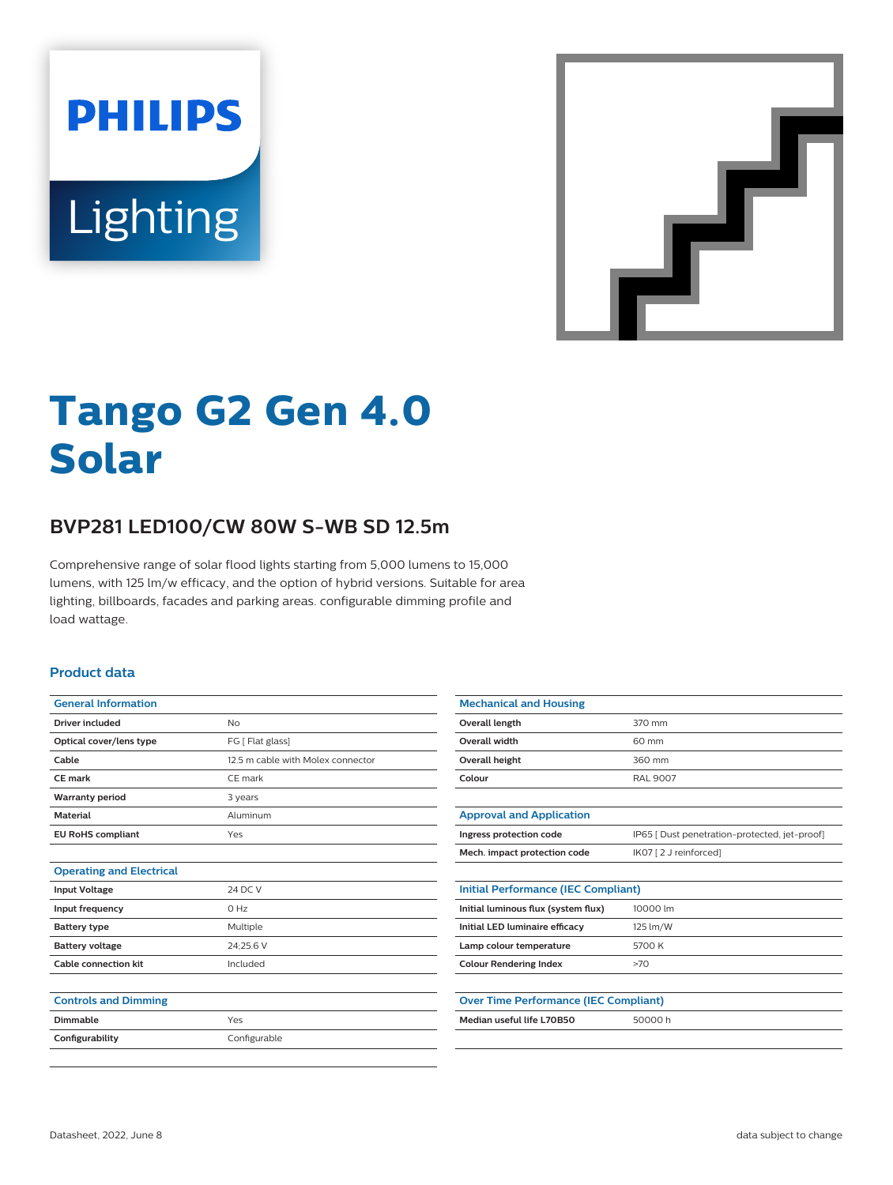



# **Tango G2 Gen 4.0 Solar**

## **BVP281 LED100/CW 80W S-WB SD 12.5m**

Comprehensive range of solar flood lights starting from 5,000 lumens to 15,000 lumens, with 125 lm/w efficacy, and the option of hybrid versions. Suitable for area lighting, billboards, facades and parking areas. configurable dimming profile and load wattage.

#### **Product data**

| <b>General Information</b>      |                                   |
|---------------------------------|-----------------------------------|
| <b>Driver included</b>          | No                                |
| Optical cover/lens type         | FG [ Flat glass]                  |
| Cable                           | 12.5 m cable with Molex connector |
| <b>CE</b> mark                  | CE mark                           |
| <b>Warranty period</b>          | 3 years                           |
| <b>Material</b>                 | Aluminum                          |
| <b>EU RoHS compliant</b>        | Yes                               |
|                                 |                                   |
| <b>Operating and Electrical</b> |                                   |
| <b>Input Voltage</b>            | 24 DC V                           |
| Input frequency                 | $O$ Hz                            |
| <b>Battery type</b>             | Multiple                          |
| <b>Battery voltage</b>          | 24;25.6 V                         |
| <b>Cable connection kit</b>     | Included                          |
|                                 |                                   |
| <b>Controls and Dimming</b>     |                                   |
| Dimmable                        | Yes                               |

| <b>Mechanical and Housing</b>                |                                               |  |
|----------------------------------------------|-----------------------------------------------|--|
| Overall length                               | 370 mm                                        |  |
| <b>Overall width</b>                         | 60 mm                                         |  |
| Overall height                               | 360 mm                                        |  |
| Colour                                       | <b>RAL 9007</b>                               |  |
|                                              |                                               |  |
| <b>Approval and Application</b>              |                                               |  |
| Ingress protection code                      | IP65   Dust penetration-protected, jet-proof] |  |
| Mech. impact protection code                 | IK07 [2 J reinforced]                         |  |
|                                              |                                               |  |
| <b>Initial Performance (IEC Compliant)</b>   |                                               |  |
| Initial luminous flux (system flux)          | 10000 lm                                      |  |
| Initial LED luminaire efficacy               | 125 lm/W                                      |  |
| Lamp colour temperature                      | 5700 K                                        |  |
| <b>Colour Rendering Index</b>                | >70                                           |  |
|                                              |                                               |  |
| <b>Over Time Performance (IEC Compliant)</b> |                                               |  |
| Median useful life L70B50                    | 50000 h                                       |  |
|                                              |                                               |  |

Configurability **Configurable**